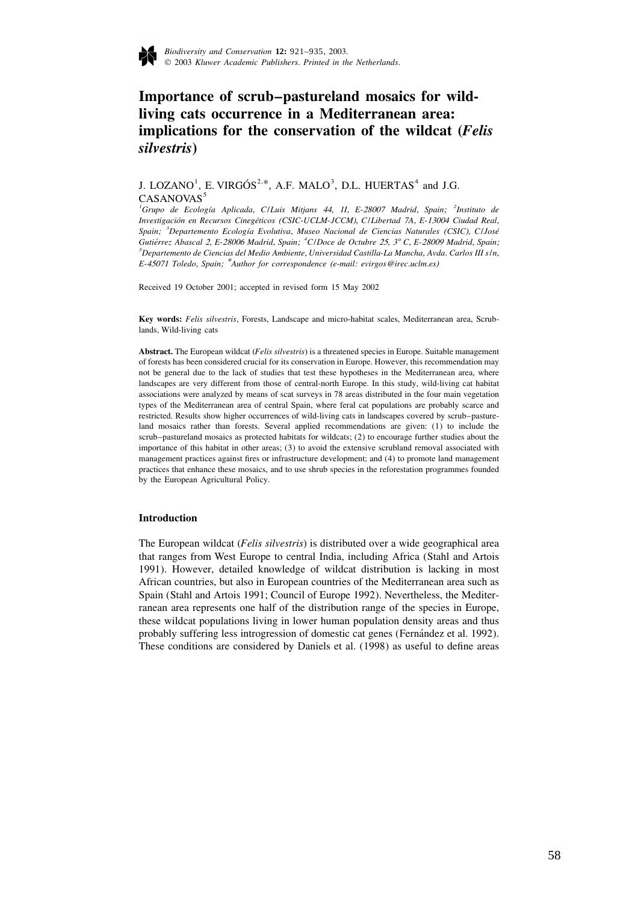

## **Importance of scrub–pastureland mosaics for wildliving cats occurrence in a Mediterranean area: implications for the conservation of the wildcat (***Felis silvestris***)**

# J. LOZANO<sup>1</sup>, E. VIRGÓS<sup>2,\*</sup>, A.F. MALO<sup>3</sup>, D.L. HUERTAS<sup>4</sup> and J.G. CASANOVAS<sup>5</sup>

 <sup>2</sup> *Grupo de Ecologıa Aplicada ´* , *C*/*Luis Mitjans* 44, <sup>1</sup>*I*, *E*-<sup>28007</sup> *Madrid*, *Spain*; *Instituto de Investigacion en Recursos Cinegeticos ´ ´* (*CSIC*-*UCLM*-*JCCM*), *C*/*Libertad* <sup>7</sup>*A*, *E*-<sup>13004</sup> *Ciudad Real*, *Spain*; *Departemento Ecologıa Evolutiva ´ ´* , *Museo Nacional de Ciencias Naturales* (*CSIC*), *C*/*Jose Gutierrez Abascal ´* 2, *E*-<sup>28006</sup> *Madrid*, *Spain*; *C*/*Doce de Octubre* 25, <sup>3</sup><sup>8</sup> *C*, *E*-<sup>28009</sup> *Madrid*, *Spain*; *Departemento de Ciencias del Medio Ambiente*, *Universidad Castilla*-*La Mancha*, *Avda*. *Carlos III s*/*n*, *E*-<sup>45071</sup> *Toledo*, *Spain*; \**Author for correspondence* (*e*-*mail*: *evirgos*@*irec*.*uclm*.*es*)

Received 19 October 2001; accepted in revised form 15 May 2002

**Key words:** *Felis silvestris*, Forests, Landscape and micro-habitat scales, Mediterranean area, Scrublands, Wild-living cats

**Abstract.** The European wildcat (*Felis silvestris*) is a threatened species in Europe. Suitable management of forests has been considered crucial for its conservation in Europe. However, this recommendation may not be general due to the lack of studies that test these hypotheses in the Mediterranean area, where landscapes are very different from those of central-north Europe. In this study, wild-living cat habitat associations were analyzed by means of scat surveys in 78 areas distributed in the four main vegetation types of the Mediterranean area of central Spain, where feral cat populations are probably scarce and restricted. Results show higher occurrences of wild-living cats in landscapes covered by scrub–pastureland mosaics rather than forests. Several applied recommendations are given: (1) to include the scrub–pastureland mosaics as protected habitats for wildcats; (2) to encourage further studies about the importance of this habitat in other areas; (3) to avoid the extensive scrubland removal associated with management practices against fires or infrastructure development; and (4) to promote land management practices that enhance these mosaics, and to use shrub species in the reforestation programmes founded by the European Agricultural Policy.

#### **Introduction**

The European wildcat (*Felis silvestris*) is distributed over a wide geographical area that ranges from West Europe to central India, including Africa (Stahl and Artois 1991). However, detailed knowledge of wildcat distribution is lacking in most African countries, but also in European countries of the Mediterranean area such as Spain (Stahl and Artois 1991; Council of Europe 1992). Nevertheless, the Mediterranean area represents one half of the distribution range of the species in Europe, these wildcat populations living in lower human population density areas and thus probably suffering less introgression of domestic cat genes (Fernandez et al. 1992). ´ These conditions are considered by Daniels et al. (1998) as useful to define areas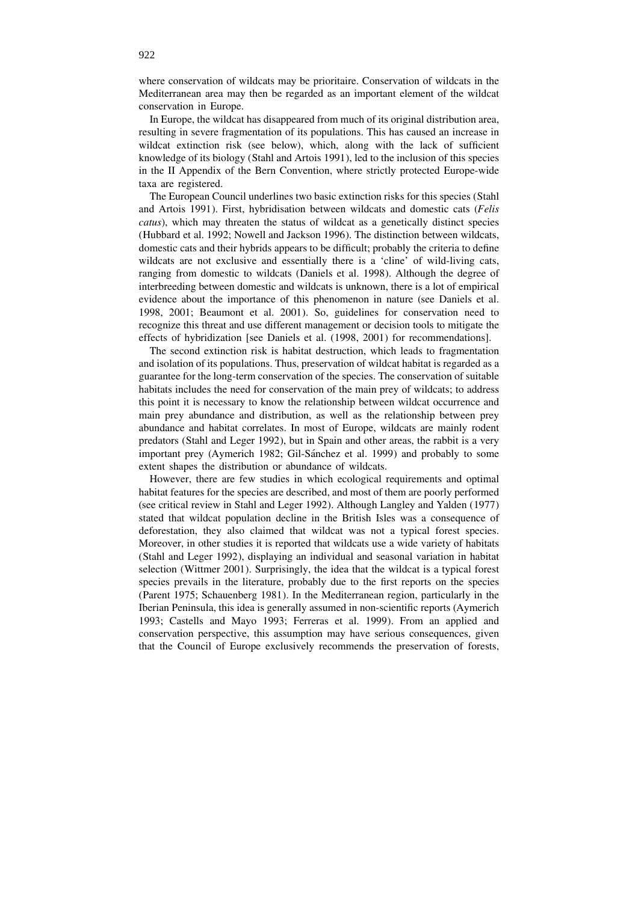where conservation of wildcats may be prioritaire. Conservation of wildcats in the Mediterranean area may then be regarded as an important element of the wildcat conservation in Europe.

In Europe, the wildcat has disappeared from much of its original distribution area, resulting in severe fragmentation of its populations. This has caused an increase in wildcat extinction risk (see below), which, along with the lack of sufficient knowledge of its biology (Stahl and Artois 1991), led to the inclusion of this species in the II Appendix of the Bern Convention, where strictly protected Europe-wide taxa are registered.

The European Council underlines two basic extinction risks for this species (Stahl and Artois 1991). First, hybridisation between wildcats and domestic cats (*Felis catus*), which may threaten the status of wildcat as a genetically distinct species (Hubbard et al. 1992; Nowell and Jackson 1996). The distinction between wildcats, domestic cats and their hybrids appears to be difficult; probably the criteria to define wildcats are not exclusive and essentially there is a 'cline' of wild-living cats, ranging from domestic to wildcats (Daniels et al. 1998). Although the degree of interbreeding between domestic and wildcats is unknown, there is a lot of empirical evidence about the importance of this phenomenon in nature (see Daniels et al. 1998, 2001; Beaumont et al. 2001). So, guidelines for conservation need to recognize this threat and use different management or decision tools to mitigate the effects of hybridization [see Daniels et al. (1998, 2001) for recommendations].

The second extinction risk is habitat destruction, which leads to fragmentation and isolation of its populations. Thus, preservation of wildcat habitat is regarded as a guarantee for the long-term conservation of the species. The conservation of suitable habitats includes the need for conservation of the main prey of wildcats; to address this point it is necessary to know the relationship between wildcat occurrence and main prey abundance and distribution, as well as the relationship between prey abundance and habitat correlates. In most of Europe, wildcats are mainly rodent predators (Stahl and Leger 1992), but in Spain and other areas, the rabbit is a very important prey (Aymerich 1982; Gil-Sanchez et al. 1999) and probably to some ´ extent shapes the distribution or abundance of wildcats.

However, there are few studies in which ecological requirements and optimal habitat features for the species are described, and most of them are poorly performed (see critical review in Stahl and Leger 1992). Although Langley and Yalden (1977) stated that wildcat population decline in the British Isles was a consequence of deforestation, they also claimed that wildcat was not a typical forest species. Moreover, in other studies it is reported that wildcats use a wide variety of habitats (Stahl and Leger 1992), displaying an individual and seasonal variation in habitat selection (Wittmer 2001). Surprisingly, the idea that the wildcat is a typical forest species prevails in the literature, probably due to the first reports on the species (Parent 1975; Schauenberg 1981). In the Mediterranean region, particularly in the Iberian Peninsula, this idea is generally assumed in non-scientific reports (Aymerich 1993; Castells and Mayo 1993; Ferreras et al. 1999). From an applied and conservation perspective, this assumption may have serious consequences, given that the Council of Europe exclusively recommends the preservation of forests,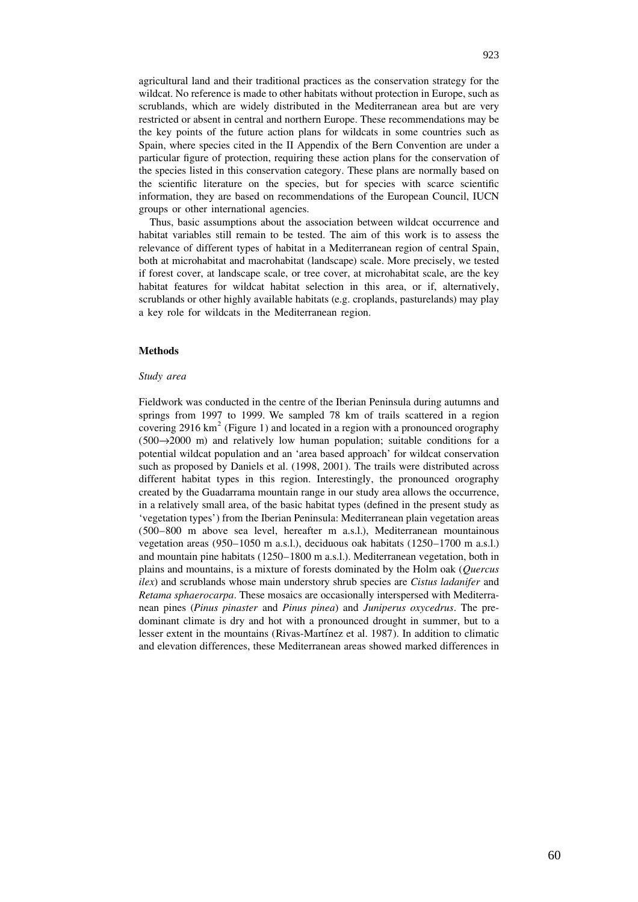agricultural land and their traditional practices as the conservation strategy for the wildcat. No reference is made to other habitats without protection in Europe, such as scrublands, which are widely distributed in the Mediterranean area but are very restricted or absent in central and northern Europe. These recommendations may be the key points of the future action plans for wildcats in some countries such as Spain, where species cited in the II Appendix of the Bern Convention are under a particular figure of protection, requiring these action plans for the conservation of the species listed in this conservation category. These plans are normally based on the scientific literature on the species, but for species with scarce scientific information, they are based on recommendations of the European Council, IUCN groups or other international agencies.

Thus, basic assumptions about the association between wildcat occurrence and habitat variables still remain to be tested. The aim of this work is to assess the relevance of different types of habitat in a Mediterranean region of central Spain, both at microhabitat and macrohabitat (landscape) scale. More precisely, we tested if forest cover, at landscape scale, or tree cover, at microhabitat scale, are the key habitat features for wildcat habitat selection in this area, or if, alternatively, scrublands or other highly available habitats (e.g. croplands, pasturelands) may play a key role for wildcats in the Mediterranean region.

#### **Methods**

#### *Study area*

Fieldwork was conducted in the centre of the Iberian Peninsula during autumns and springs from 1997 to 1999. We sampled 78 km of trails scattered in a region covering 2916 km<sup>2</sup> (Figure 1) and located in a region with a pronounced orography  $(500\rightarrow2000)$  m) and relatively low human population; suitable conditions for a potential wildcat population and an 'area based approach' for wildcat conservation such as proposed by Daniels et al. (1998, 2001). The trails were distributed across different habitat types in this region. Interestingly, the pronounced orography created by the Guadarrama mountain range in our study area allows the occurrence, in a relatively small area, of the basic habitat types (defined in the present study as 'vegetation types') from the Iberian Peninsula: Mediterranean plain vegetation areas (500–800 m above sea level, hereafter m a.s.l.), Mediterranean mountainous vegetation areas (950–1050 m a.s.l.), deciduous oak habitats (1250–1700 m a.s.l.) and mountain pine habitats (1250–1800 m a.s.l.). Mediterranean vegetation, both in plains and mountains, is a mixture of forests dominated by the Holm oak (*Quercus ilex*) and scrublands whose main understory shrub species are *Cistus ladanifer* and *Retama sphaerocarpa*. These mosaics are occasionally interspersed with Mediterranean pines (*Pinus pinaster* and *Pinus pinea*) and *Juniperus oxycedrus*. The predominant climate is dry and hot with a pronounced drought in summer, but to a lesser extent in the mountains (Rivas-Martínez et al. 1987). In addition to climatic and elevation differences, these Mediterranean areas showed marked differences in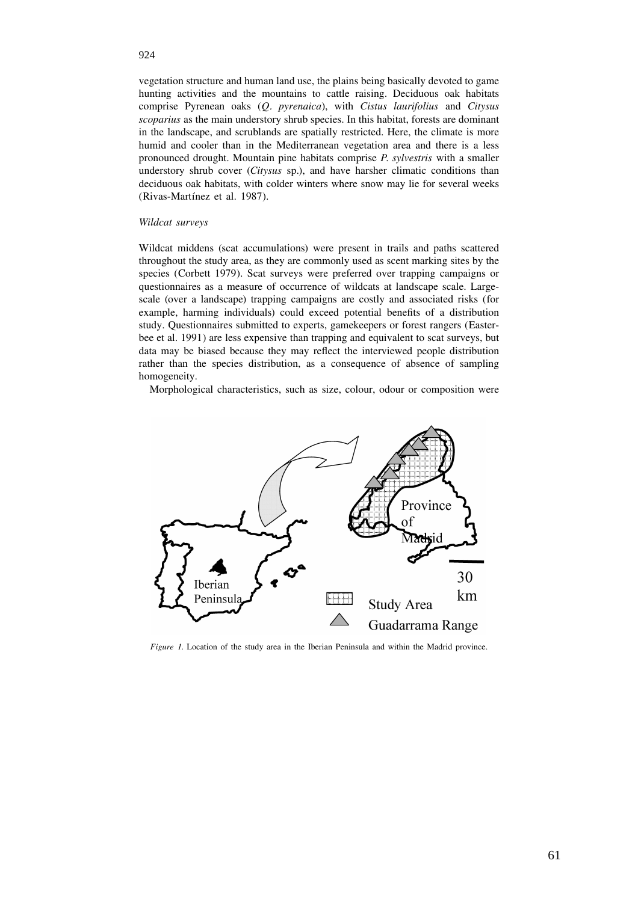vegetation structure and human land use, the plains being basically devoted to game hunting activities and the mountains to cattle raising. Deciduous oak habitats comprise Pyrenean oaks (*Q*. *pyrenaica*), with *Cistus laurifolius* and *Citysus scoparius* as the main understory shrub species. In this habitat, forests are dominant in the landscape, and scrublands are spatially restricted. Here, the climate is more humid and cooler than in the Mediterranean vegetation area and there is a less pronounced drought. Mountain pine habitats comprise *P*. *sylvestris* with a smaller understory shrub cover (*Citysus* sp.), and have harsher climatic conditions than deciduous oak habitats, with colder winters where snow may lie for several weeks (Rivas-Martínez et al. 1987).

#### *Wildcat surveys*

Wildcat middens (scat accumulations) were present in trails and paths scattered throughout the study area, as they are commonly used as scent marking sites by the species (Corbett 1979). Scat surveys were preferred over trapping campaigns or questionnaires as a measure of occurrence of wildcats at landscape scale. Largescale (over a landscape) trapping campaigns are costly and associated risks (for example, harming individuals) could exceed potential benefits of a distribution study. Questionnaires submitted to experts, gamekeepers or forest rangers (Easterbee et al. 1991) are less expensive than trapping and equivalent to scat surveys, but data may be biased because they may reflect the interviewed people distribution rather than the species distribution, as a consequence of absence of sampling homogeneity.

Morphological characteristics, such as size, colour, odour or composition were



*Figure* 1. Location of the study area in the Iberian Peninsula and within the Madrid province.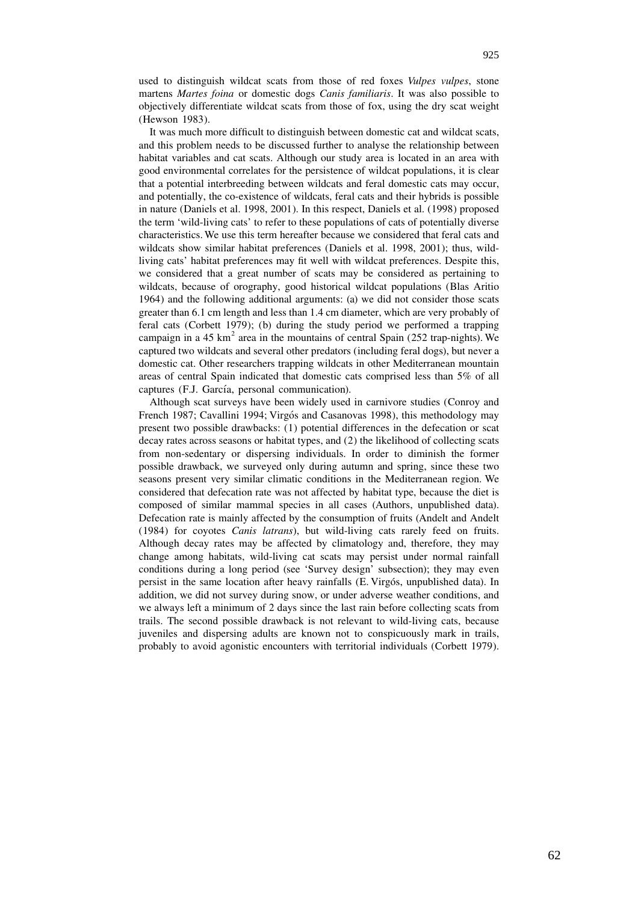It was much more difficult to distinguish between domestic cat and wildcat scats, and this problem needs to be discussed further to analyse the relationship between habitat variables and cat scats. Although our study area is located in an area with good environmental correlates for the persistence of wildcat populations, it is clear that a potential interbreeding between wildcats and feral domestic cats may occur, and potentially, the co-existence of wildcats, feral cats and their hybrids is possible in nature (Daniels et al. 1998, 2001). In this respect, Daniels et al. (1998) proposed the term 'wild-living cats' to refer to these populations of cats of potentially diverse characteristics. We use this term hereafter because we considered that feral cats and wildcats show similar habitat preferences (Daniels et al. 1998, 2001); thus, wildliving cats' habitat preferences may fit well with wildcat preferences. Despite this, we considered that a great number of scats may be considered as pertaining to wildcats, because of orography, good historical wildcat populations (Blas Aritio 1964) and the following additional arguments: (a) we did not consider those scats greater than 6.1 cm length and less than 1.4 cm diameter, which are very probably of feral cats (Corbett 1979); (b) during the study period we performed a trapping campaign in a 45 km<sup>2</sup> area in the mountains of central Spain (252 trap-nights). We captured two wildcats and several other predators (including feral dogs), but never a domestic cat. Other researchers trapping wildcats in other Mediterranean mountain areas of central Spain indicated that domestic cats comprised less than 5% of all captures (F.J. García, personal communication).

Although scat surveys have been widely used in carnivore studies (Conroy and French 1987; Cavallini 1994; Virgós and Casanovas 1998), this methodology may present two possible drawbacks: (1) potential differences in the defecation or scat decay rates across seasons or habitat types, and (2) the likelihood of collecting scats from non-sedentary or dispersing individuals. In order to diminish the former possible drawback, we surveyed only during autumn and spring, since these two seasons present very similar climatic conditions in the Mediterranean region. We considered that defecation rate was not affected by habitat type, because the diet is composed of similar mammal species in all cases (Authors, unpublished data). Defecation rate is mainly affected by the consumption of fruits (Andelt and Andelt (1984) for coyotes *Canis latrans*), but wild-living cats rarely feed on fruits. Although decay rates may be affected by climatology and, therefore, they may change among habitats, wild-living cat scats may persist under normal rainfall conditions during a long period (see 'Survey design' subsection); they may even persist in the same location after heavy rainfalls (E. Virgos, unpublished data). In ´ addition, we did not survey during snow, or under adverse weather conditions, and we always left a minimum of 2 days since the last rain before collecting scats from trails. The second possible drawback is not relevant to wild-living cats, because juveniles and dispersing adults are known not to conspicuously mark in trails, probably to avoid agonistic encounters with territorial individuals (Corbett 1979).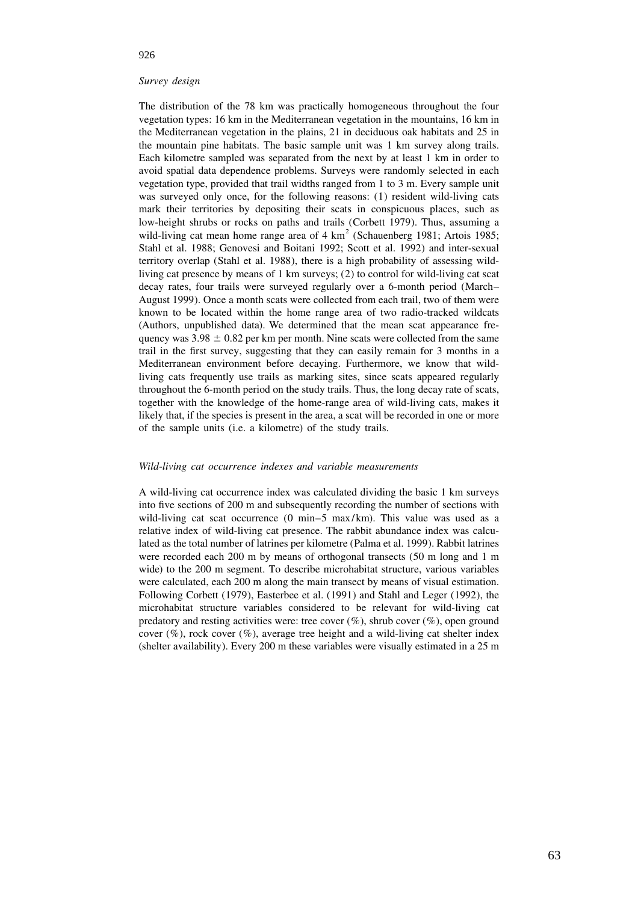### 926

#### *Survey design*

The distribution of the 78 km was practically homogeneous throughout the four vegetation types: 16 km in the Mediterranean vegetation in the mountains, 16 km in the Mediterranean vegetation in the plains, 21 in deciduous oak habitats and 25 in the mountain pine habitats. The basic sample unit was 1 km survey along trails. Each kilometre sampled was separated from the next by at least 1 km in order to avoid spatial data dependence problems. Surveys were randomly selected in each vegetation type, provided that trail widths ranged from 1 to 3 m. Every sample unit was surveyed only once, for the following reasons: (1) resident wild-living cats mark their territories by depositing their scats in conspicuous places, such as low-height shrubs or rocks on paths and trails (Corbett 1979). Thus, assuming a wild-living cat mean home range area of 4 km<sup>2</sup> (Schauenberg 1981; Artois 1985; Stahl et al. 1988; Genovesi and Boitani 1992; Scott et al. 1992) and inter-sexual territory overlap (Stahl et al. 1988), there is a high probability of assessing wildliving cat presence by means of 1 km surveys; (2) to control for wild-living cat scat decay rates, four trails were surveyed regularly over a 6-month period (March– August 1999). Once a month scats were collected from each trail, two of them were known to be located within the home range area of two radio-tracked wildcats (Authors, unpublished data). We determined that the mean scat appearance frequency was  $3.98 \pm 0.82$  per km per month. Nine scats were collected from the same trail in the first survey, suggesting that they can easily remain for 3 months in a Mediterranean environment before decaying. Furthermore, we know that wildliving cats frequently use trails as marking sites, since scats appeared regularly throughout the 6-month period on the study trails. Thus, the long decay rate of scats, together with the knowledge of the home-range area of wild-living cats, makes it likely that, if the species is present in the area, a scat will be recorded in one or more of the sample units (i.e. a kilometre) of the study trails.

#### *Wild*-*living cat occurrence indexes and variable measurements*

A wild-living cat occurrence index was calculated dividing the basic 1 km surveys into five sections of 200 m and subsequently recording the number of sections with wild-living cat scat occurrence (0 min–5 max/km). This value was used as a relative index of wild-living cat presence. The rabbit abundance index was calculated as the total number of latrines per kilometre (Palma et al. 1999). Rabbit latrines were recorded each 200 m by means of orthogonal transects (50 m long and 1 m wide) to the 200 m segment. To describe microhabitat structure, various variables were calculated, each 200 m along the main transect by means of visual estimation. Following Corbett (1979), Easterbee et al. (1991) and Stahl and Leger (1992), the microhabitat structure variables considered to be relevant for wild-living cat predatory and resting activities were: tree cover  $(\%)$ , shrub cover  $(\%)$ , open ground cover  $(\%)$ , rock cover  $(\%)$ , average tree height and a wild-living cat shelter index (shelter availability). Every 200 m these variables were visually estimated in a 25 m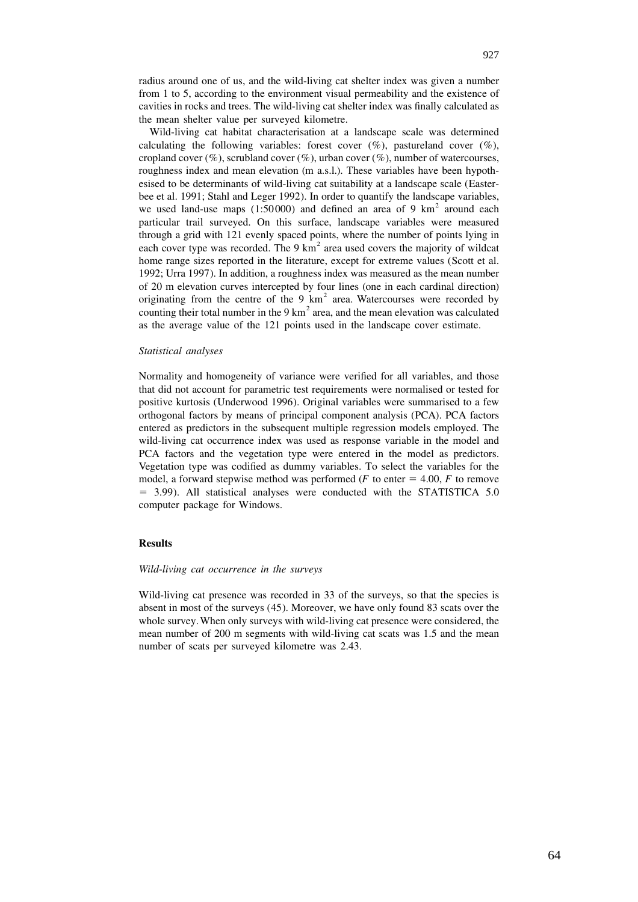radius around one of us, and the wild-living cat shelter index was given a number from 1 to 5, according to the environment visual permeability and the existence of cavities in rocks and trees. The wild-living cat shelter index was finally calculated as the mean shelter value per surveyed kilometre.

Wild-living cat habitat characterisation at a landscape scale was determined calculating the following variables: forest cover  $(\%)$ , pastureland cover  $(\%)$ , cropland cover  $(\%)$ , scrubland cover  $(\%)$ , urban cover  $(\%)$ , number of watercourses, roughness index and mean elevation (m a.s.l.). These variables have been hypothesised to be determinants of wild-living cat suitability at a landscape scale (Easterbee et al. 1991; Stahl and Leger 1992). In order to quantify the landscape variables, we used land-use maps (1:50000) and defined an area of 9 km<sup>2</sup> around each particular trail surveyed. On this surface, landscape variables were measured through a grid with 121 evenly spaced points, where the number of points lying in each cover type was recorded. The 9 km<sup>2</sup> area used covers the majority of wildcat home range sizes reported in the literature, except for extreme values (Scott et al. 1992; Urra 1997). In addition, a roughness index was measured as the mean number of 20 m elevation curves intercepted by four lines (one in each cardinal direction) originating from the centre of the 9  $km^2$  area. Watercourses were recorded by counting their total number in the 9  $km^2$  area, and the m as the average value of the 121 points used in the landscape cover estimate.

#### *Statistical analyses*

Normality and homogeneity of variance were verified for all variables, and those that did not account for parametric test requirements were normalised or tested for positive kurtosis (Underwood 1996). Original variables were summarised to a few orthogonal factors by means of principal component analysis (PCA). PCA factors entered as predictors in the subsequent multiple regression models employed. The wild-living cat occurrence index was used as response variable in the model and PCA factors and the vegetation type were entered in the model as predictors. Vegetation type was codified as dummy variables. To select the variables for the model, a forward stepwise method was performed ( $F$  to enter  $= 4.00, F$  to remove  $=$  3.99). All statistical analyses were conducted with the STATISTICA 5.0 computer package for Windows.

#### **Results**

#### *Wild*-*living cat occurrence in the surveys*

Wild-living cat presence was recorded in 33 of the surveys, so that the species is absent in most of the surveys (45). Moreover, we have only found 83 scats over the whole survey.When only surveys with wild-living cat presence were considered, the mean number of 200 m segments with wild-living cat scats was 1.5 and the mean number of scats per surveyed kilometre was 2.43.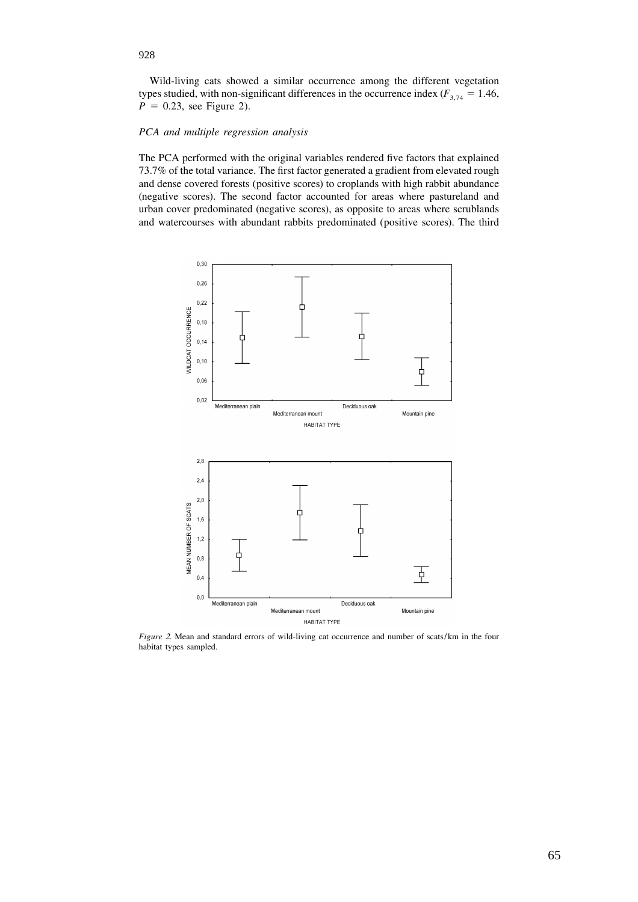Wild-living cats showed a similar occurrence among the different vegetation types studied, with non-significant differences in the occurrence index  $(F_{3,74} = 1.46,$  $P = 0.23$ , see Figure 2).

#### *PCA and multiple regression analysis*

The PCA performed with the original variables rendered five factors that explained 73.7% of the total variance. The first factor generated a gradient from elevated rough and dense covered forests (positive scores) to croplands with high rabbit abundance (negative scores). The second factor accounted for areas where pastureland and urban cover predominated (negative scores), as opposite to areas where scrublands and watercourses with abundant rabbits predominated (positive scores). The third



*Figure* 2. Mean and standard errors of wild-living cat occurrence and number of scats/km in the four habitat types sampled.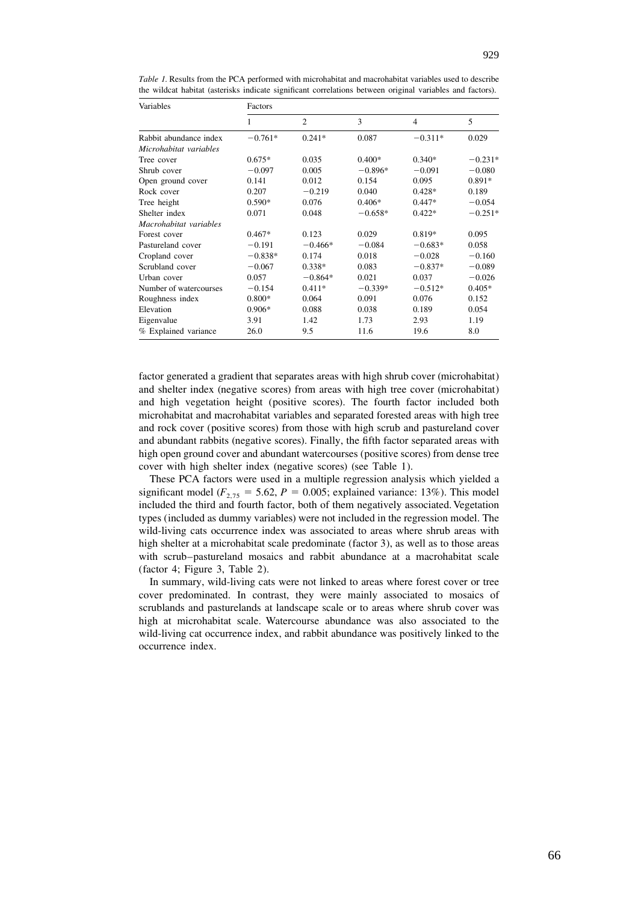| Variables              | Factors   |                |           |                |           |  |
|------------------------|-----------|----------------|-----------|----------------|-----------|--|
|                        | 1         | $\overline{c}$ | 3         | $\overline{4}$ | 5         |  |
| Rabbit abundance index | $-0.761*$ | $0.241*$       | 0.087     | $-0.311*$      | 0.029     |  |
| Microhabitat variables |           |                |           |                |           |  |
| Tree cover             | $0.675*$  | 0.035          | $0.400*$  | $0.340*$       | $-0.231*$ |  |
| Shrub cover            | $-0.097$  | 0.005          | $-0.896*$ | $-0.091$       | $-0.080$  |  |
| Open ground cover      | 0.141     | 0.012          | 0.154     | 0.095          | 0.891*    |  |
| Rock cover             | 0.207     | $-0.219$       | 0.040     | $0.428*$       | 0.189     |  |
| Tree height            | $0.590*$  | 0.076          | $0.406*$  | $0.447*$       | $-0.054$  |  |
| Shelter index          | 0.071     | 0.048          | $-0.658*$ | $0.422*$       | $-0.251*$ |  |
| Macrohabitat variables |           |                |           |                |           |  |
| Forest cover           | $0.467*$  | 0.123          | 0.029     | $0.819*$       | 0.095     |  |
| Pastureland cover      | $-0.191$  | $-0.466*$      | $-0.084$  | $-0.683*$      | 0.058     |  |
| Cropland cover         | $-0.838*$ | 0.174          | 0.018     | $-0.028$       | $-0.160$  |  |
| Scrubland cover        | $-0.067$  | $0.338*$       | 0.083     | $-0.837*$      | $-0.089$  |  |
| Urban cover            | 0.057     | $-0.864*$      | 0.021     | 0.037          | $-0.026$  |  |
| Number of watercourses | $-0.154$  | $0.411*$       | $-0.339*$ | $-0.512*$      | $0.405*$  |  |
| Roughness index        | $0.800*$  | 0.064          | 0.091     | 0.076          | 0.152     |  |
| Elevation              | $0.906*$  | 0.088          | 0.038     | 0.189          | 0.054     |  |
| Eigenvalue             | 3.91      | 1.42           | 1.73      | 2.93           | 1.19      |  |
| % Explained variance   | 26.0      | 9.5            | 11.6      | 19.6           | 8.0       |  |

*Table 1*. Results from the PCA performed with microhabitat and macrohabitat variables used to describe the wildcat habitat (asterisks indicate significant correlations between original variables and factors).

factor generated a gradient that separates areas with high shrub cover (microhabitat) and shelter index (negative scores) from areas with high tree cover (microhabitat) and high vegetation height (positive scores). The fourth factor included both microhabitat and macrohabitat variables and separated forested areas with high tree and rock cover (positive scores) from those with high scrub and pastureland cover and abundant rabbits (negative scores). Finally, the fifth factor separated areas with high open ground cover and abundant watercourses (positive scores) from dense tree cover with high shelter index (negative scores) (see Table 1).

These PCA factors were used in a multiple regression analysis which yielded a significant model ( $F_{2.75}$  = 5.62,  $P = 0.005$ ; explained variance: 13%). This model included the third and fourth factor, both of them negatively associated. Vegetation types (included as dummy variables) were not included in the regression model. The wild-living cats occurrence index was associated to areas where shrub areas with high shelter at a microhabitat scale predominate (factor 3), as well as to those areas with scrub–pastureland mosaics and rabbit abundance at a macrohabitat scale (factor 4; Figure 3, Table 2).

In summary, wild-living cats were not linked to areas where forest cover or tree cover predominated. In contrast, they were mainly associated to mosaics of scrublands and pasturelands at landscape scale or to areas where shrub cover was high at microhabitat scale. Watercourse abundance was also associated to the wild-living cat occurrence index, and rabbit abundance was positively linked to the occurrence index.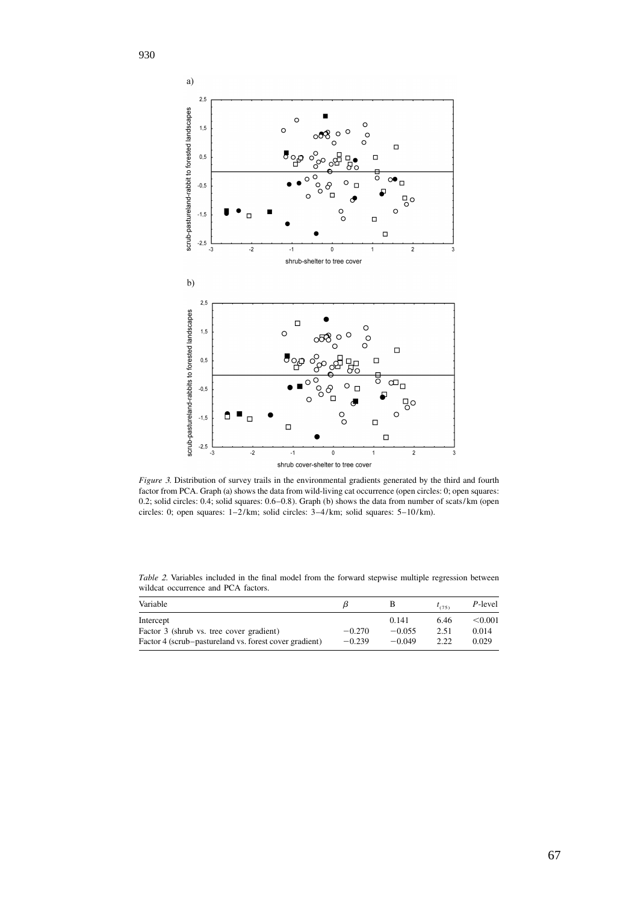

*Figure* 3. Distribution of survey trails in the environmental gradients generated by the third and fourth factor from PCA. Graph (a) shows the data from wild-living cat occurrence (open circles: 0; open squares: 0.2; solid circles: 0.4; solid squares: 0.6–0.8). Graph (b) shows the data from number of scats/km (open circles: 0; open squares: 1–2/km; solid circles: 3–4/km; solid squares: 5–10/km).

*Table* 2. Variables included in the final model from the forward stepwise multiple regression between wildcat occurrence and PCA factors.

| Variable                                               |          |          | $t_{(75)}$ | P-level |
|--------------------------------------------------------|----------|----------|------------|---------|
| Intercept                                              |          | 0.141    | 6.46       | < 0.001 |
| Factor 3 (shrub vs. tree cover gradient)               | $-0.270$ | $-0.055$ | 2.51       | 0.014   |
| Factor 4 (scrub-pastureland vs. forest cover gradient) | $-0.239$ | $-0.049$ | 2.22       | 0.029   |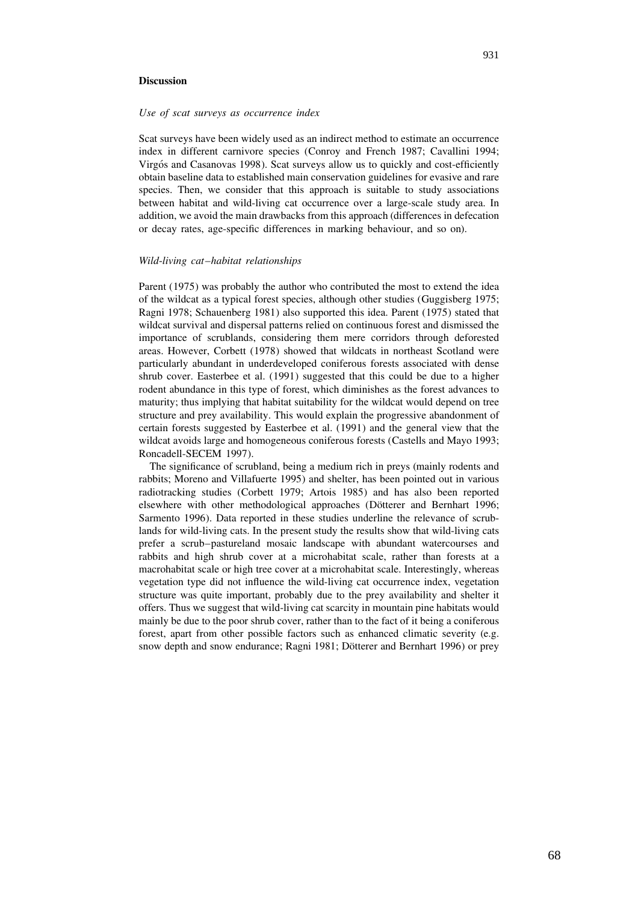#### **Discussion**

#### *Use of scat surveys as occurrence index*

Scat surveys have been widely used as an indirect method to estimate an occurrence index in different carnivore species (Conroy and French 1987; Cavallini 1994; Virgós and Casanovas 1998). Scat surveys allow us to quickly and cost-efficiently obtain baseline data to established main conservation guidelines for evasive and rare species. Then, we consider that this approach is suitable to study associations between habitat and wild-living cat occurrence over a large-scale study area. In addition, we avoid the main drawbacks from this approach (differences in defecation or decay rates, age-specific differences in marking behaviour, and so on).

#### *Wild*-*living cat*–*habitat relationships*

Parent (1975) was probably the author who contributed the most to extend the idea of the wildcat as a typical forest species, although other studies (Guggisberg 1975; Ragni 1978; Schauenberg 1981) also supported this idea. Parent (1975) stated that wildcat survival and dispersal patterns relied on continuous forest and dismissed the importance of scrublands, considering them mere corridors through deforested areas. However, Corbett (1978) showed that wildcats in northeast Scotland were particularly abundant in underdeveloped coniferous forests associated with dense shrub cover. Easterbee et al. (1991) suggested that this could be due to a higher rodent abundance in this type of forest, which diminishes as the forest advances to maturity; thus implying that habitat suitability for the wildcat would depend on tree structure and prey availability. This would explain the progressive abandonment of certain forests suggested by Easterbee et al. (1991) and the general view that the wildcat avoids large and homogeneous coniferous forests (Castells and Mayo 1993; Roncadell-SECEM 1997).

The significance of scrubland, being a medium rich in preys (mainly rodents and rabbits; Moreno and Villafuerte 1995) and shelter, has been pointed out in various radiotracking studies (Corbett 1979; Artois 1985) and has also been reported elsewhere with other methodological approaches (Dötterer and Bernhart 1996; Sarmento 1996). Data reported in these studies underline the relevance of scrublands for wild-living cats. In the present study the results show that wild-living cats prefer a scrub–pastureland mosaic landscape with abundant watercourses and rabbits and high shrub cover at a microhabitat scale, rather than forests at a macrohabitat scale or high tree cover at a microhabitat scale. Interestingly, whereas vegetation type did not influence the wild-living cat occurrence index, vegetation structure was quite important, probably due to the prey availability and shelter it offers. Thus we suggest that wild-living cat scarcity in mountain pine habitats would mainly be due to the poor shrub cover, rather than to the fact of it being a coniferous forest, apart from other possible factors such as enhanced climatic severity (e.g. snow depth and snow endurance; Ragni 1981; Dötterer and Bernhart 1996) or prey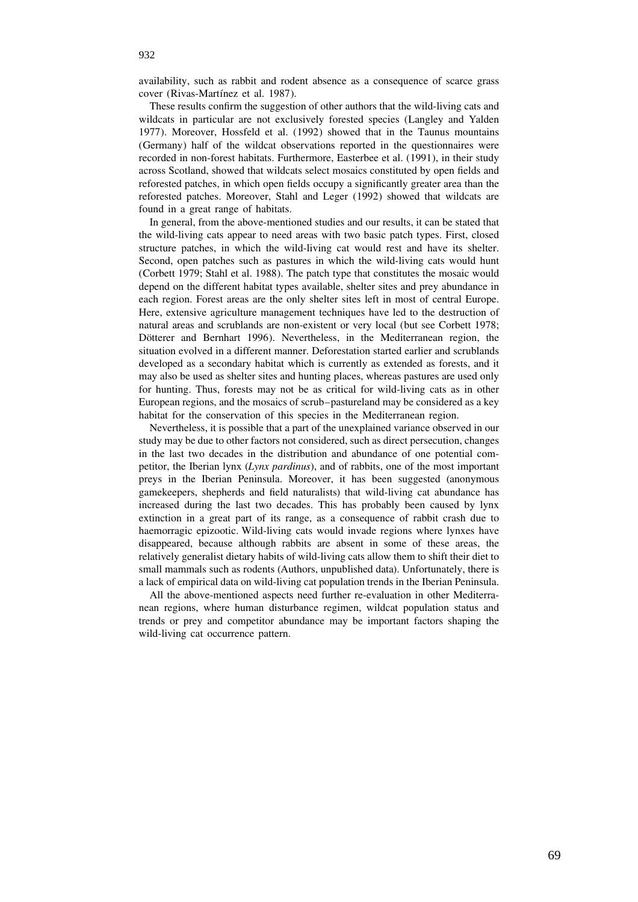availability, such as rabbit and rodent absence as a consequence of scarce grass cover (Rivas-Martínez et al. 1987).

These results confirm the suggestion of other authors that the wild-living cats and wildcats in particular are not exclusively forested species (Langley and Yalden 1977). Moreover, Hossfeld et al. (1992) showed that in the Taunus mountains (Germany) half of the wildcat observations reported in the questionnaires were recorded in non-forest habitats. Furthermore, Easterbee et al. (1991), in their study across Scotland, showed that wildcats select mosaics constituted by open fields and reforested patches, in which open fields occupy a significantly greater area than the reforested patches. Moreover, Stahl and Leger (1992) showed that wildcats are found in a great range of habitats.

In general, from the above-mentioned studies and our results, it can be stated that the wild-living cats appear to need areas with two basic patch types. First, closed structure patches, in which the wild-living cat would rest and have its shelter. Second, open patches such as pastures in which the wild-living cats would hunt (Corbett 1979; Stahl et al. 1988). The patch type that constitutes the mosaic would depend on the different habitat types available, shelter sites and prey abundance in each region. Forest areas are the only shelter sites left in most of central Europe. Here, extensive agriculture management techniques have led to the destruction of natural areas and scrublands are non-existent or very local (but see Corbett 1978; Dötterer and Bernhart 1996). Nevertheless, in the Mediterranean region, the situation evolved in a different manner. Deforestation started earlier and scrublands developed as a secondary habitat which is currently as extended as forests, and it may also be used as shelter sites and hunting places, whereas pastures are used only for hunting. Thus, forests may not be as critical for wild-living cats as in other European regions, and the mosaics of scrub–pastureland may be considered as a key habitat for the conservation of this species in the Mediterranean region.

Nevertheless, it is possible that a part of the unexplained variance observed in our study may be due to other factors not considered, such as direct persecution, changes in the last two decades in the distribution and abundance of one potential competitor, the Iberian lynx (*Lynx pardinus*), and of rabbits, one of the most important preys in the Iberian Peninsula. Moreover, it has been suggested (anonymous gamekeepers, shepherds and field naturalists) that wild-living cat abundance has increased during the last two decades. This has probably been caused by lynx extinction in a great part of its range, as a consequence of rabbit crash due to haemorragic epizootic. Wild-living cats would invade regions where lynxes have disappeared, because although rabbits are absent in some of these areas, the relatively generalist dietary habits of wild-living cats allow them to shift their diet to small mammals such as rodents (Authors, unpublished data). Unfortunately, there is a lack of empirical data on wild-living cat population trends in the Iberian Peninsula.

All the above-mentioned aspects need further re-evaluation in other Mediterranean regions, where human disturbance regimen, wildcat population status and trends or prey and competitor abundance may be important factors shaping the wild-living cat occurrence pattern.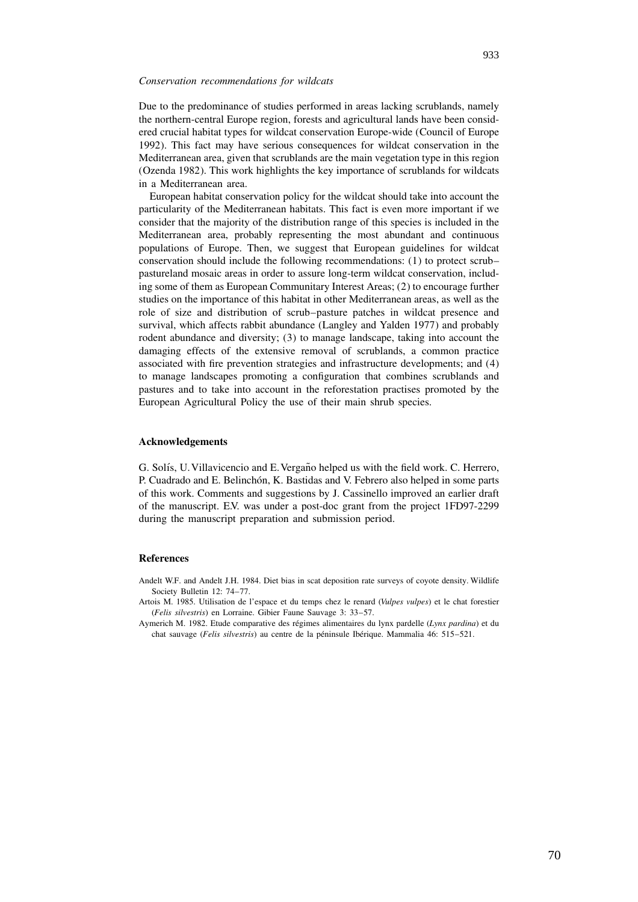#### *Conservation recommendations for wildcats*

Due to the predominance of studies performed in areas lacking scrublands, namely the northern-central Europe region, forests and agricultural lands have been considered crucial habitat types for wildcat conservation Europe-wide (Council of Europe 1992). This fact may have serious consequences for wildcat conservation in the Mediterranean area, given that scrublands are the main vegetation type in this region (Ozenda 1982). This work highlights the key importance of scrublands for wildcats in a Mediterranean area.

European habitat conservation policy for the wildcat should take into account the particularity of the Mediterranean habitats. This fact is even more important if we consider that the majority of the distribution range of this species is included in the Mediterranean area, probably representing the most abundant and continuous populations of Europe. Then, we suggest that European guidelines for wildcat conservation should include the following recommendations: (1) to protect scrub– pastureland mosaic areas in order to assure long-term wildcat conservation, including some of them as European Communitary Interest Areas; (2) to encourage further studies on the importance of this habitat in other Mediterranean areas, as well as the role of size and distribution of scrub–pasture patches in wildcat presence and survival, which affects rabbit abundance (Langley and Yalden 1977) and probably rodent abundance and diversity; (3) to manage landscape, taking into account the damaging effects of the extensive removal of scrublands, a common practice associated with fire prevention strategies and infrastructure developments; and (4) to manage landscapes promoting a configuration that combines scrublands and pastures and to take into account in the reforestation practises promoted by the European Agricultural Policy the use of their main shrub species.

#### **Acknowledgements**

G. Solís, U. Villavicencio and E. Vergaño helped us with the field work. C. Herrero, P. Cuadrado and E. Belinchón, K. Bastidas and V. Febrero also helped in some parts of this work. Comments and suggestions by J. Cassinello improved an earlier draft of the manuscript. E.V. was under a post-doc grant from the project 1FD97-2299 during the manuscript preparation and submission period.

#### **References**

- Andelt W.F. and Andelt J.H. 1984. Diet bias in scat deposition rate surveys of coyote density. Wildlife Society Bulletin 12: 74–77.
- Artois M. 1985. Utilisation de l'espace et du temps chez le renard (*Vulpes vulpes*) et le chat forestier (*Felis silvestris*) en Lorraine. Gibier Faune Sauvage 3: 33–57.
- Aymerich M. 1982. Etude comparative des régimes alimentaires du lynx pardelle (Lynx pardina) et du chat sauvage (*Felis silvestris*) au centre de la peninsule Iberique. Mammalia 46: 515–521. ´ ´